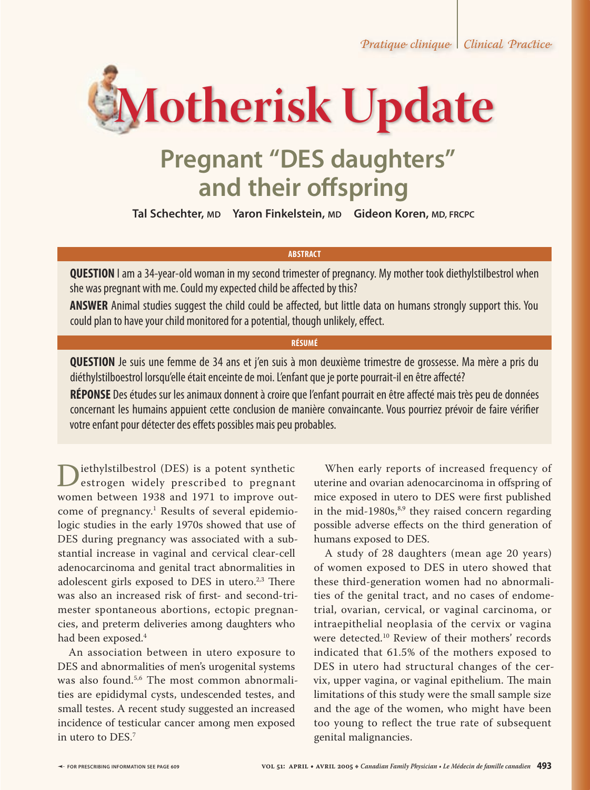

# **Pregnant "DES daughters"**  and their offspring

**Tal Schechter, MD Yaron Finkelstein, MD Gideon Koren, MD, FRCPC**

### **ABSTRACT**

**QUESTION** I am a 34-year-old woman in my second trimester of pregnancy. My mother took diethylstilbestrol when she was pregnant with me. Could my expected child be affected by this?

ANSWER Animal studies suggest the child could be affected, but little data on humans strongly support this. You could plan to have your child monitored for a potential, though unlikely, effect.

### **RÉSUMÉ**

**QUESTION** Je suis une femme de 34 ans et j'en suis à mon deuxième trimestre de grossesse. Ma mère a pris du diéthylstilboestrol lorsqu'elle était enceinte de moi. L'enfant que je porte pourrait-il en être affecté?

**RÉPONSE** Des études sur les animaux donnent à croire que l'enfant pourrait en être affecté mais très peu de données concernant les humains appuient cette conclusion de manière convaincante. Vous pourriez prévoir de faire vérifier votre enfant pour détecter des effets possibles mais peu probables.

Diethylstilbestrol (DES) is a potent synthetic<br>
estrogen widely prescribed to pregnant<br>
women between 1938 and 1971 to improve outwomen between 1938 and 1971 to improve outcome of pregnancy.<sup>1</sup> Results of several epidemiologic studies in the early 1970s showed that use of DES during pregnancy was associated with a substantial increase in vaginal and cervical clear-cell adenocarcinoma and genital tract abnormalities in adolescent girls exposed to DES in utero. $2,3$  There was also an increased risk of first- and second-trimester spontaneous abortions, ectopic pregnancies, and preterm deliveries among daughters who had been exposed.<sup>4</sup>

An association between in utero exposure to DES and abnormalities of men's urogenital systems was also found.<sup>5,6</sup> The most common abnormalities are epididymal cysts, undescended testes, and small testes. A recent study suggested an increased incidence of testicular cancer among men exposed in utero to DES.7

When early reports of increased frequency of uterine and ovarian adenocarcinoma in offspring of mice exposed in utero to DES were first published in the mid-1980s, $8,9$  they raised concern regarding possible adverse effects on the third generation of humans exposed to DES.

A study of 28 daughters (mean age 20 years) of women exposed to DES in utero showed that these third-generation women had no abnormalities of the genital tract, and no cases of endometrial, ovarian, cervical, or vaginal carcinoma, or intraepithelial neoplasia of the cervix or vagina were detected.10 Review of their mothers' records indicated that 61.5% of the mothers exposed to DES in utero had structural changes of the cervix, upper vagina, or vaginal epithelium. The main limitations of this study were the small sample size and the age of the women, who might have been too young to reflect the true rate of subsequent genital malignancies.